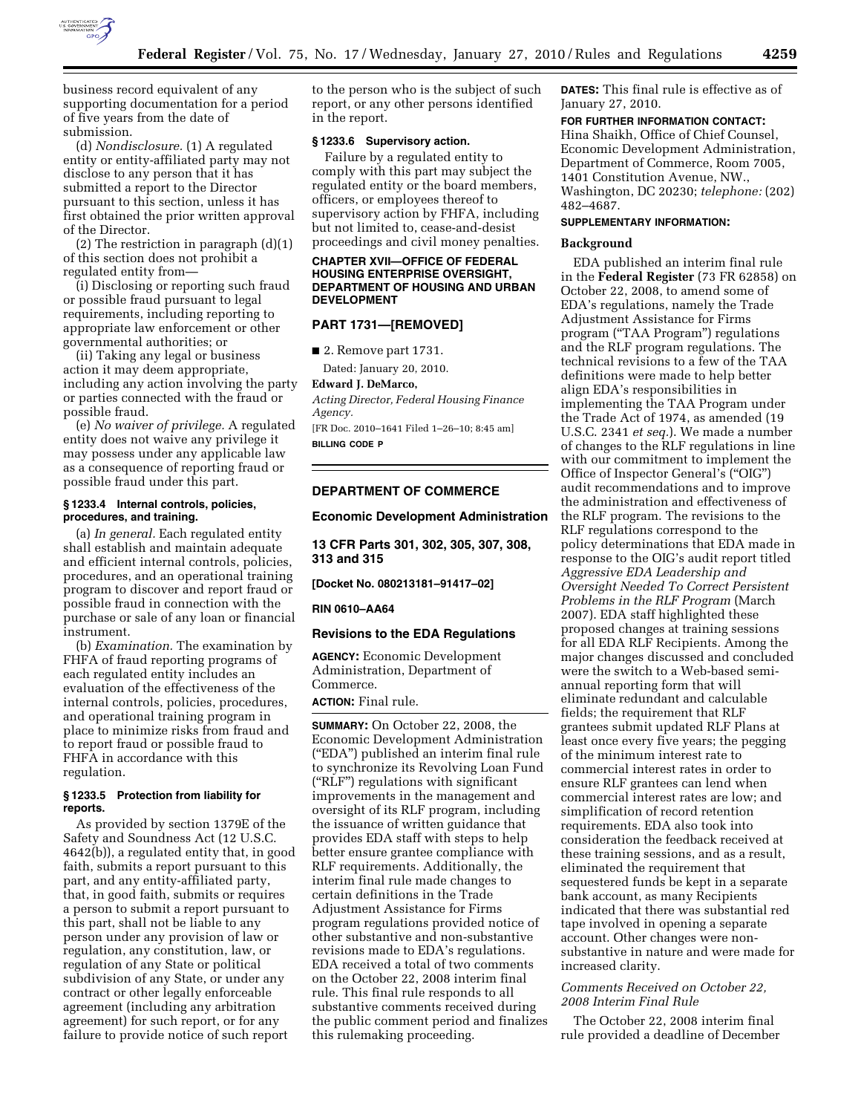

business record equivalent of any supporting documentation for a period of five years from the date of submission.

(d) *Nondisclosure.* (1) A regulated entity or entity-affiliated party may not disclose to any person that it has submitted a report to the Director pursuant to this section, unless it has first obtained the prior written approval of the Director.

(2) The restriction in paragraph (d)(1) of this section does not prohibit a regulated entity from—

(i) Disclosing or reporting such fraud or possible fraud pursuant to legal requirements, including reporting to appropriate law enforcement or other governmental authorities; or

(ii) Taking any legal or business action it may deem appropriate, including any action involving the party or parties connected with the fraud or possible fraud.

(e) *No waiver of privilege.* A regulated entity does not waive any privilege it may possess under any applicable law as a consequence of reporting fraud or possible fraud under this part.

## **§ 1233.4 Internal controls, policies, procedures, and training.**

(a) *In general.* Each regulated entity shall establish and maintain adequate and efficient internal controls, policies, procedures, and an operational training program to discover and report fraud or possible fraud in connection with the purchase or sale of any loan or financial instrument.

(b) *Examination.* The examination by FHFA of fraud reporting programs of each regulated entity includes an evaluation of the effectiveness of the internal controls, policies, procedures, and operational training program in place to minimize risks from fraud and to report fraud or possible fraud to FHFA in accordance with this regulation.

# **§ 1233.5 Protection from liability for reports.**

As provided by section 1379E of the Safety and Soundness Act (12 U.S.C. 4642(b)), a regulated entity that, in good faith, submits a report pursuant to this part, and any entity-affiliated party, that, in good faith, submits or requires a person to submit a report pursuant to this part, shall not be liable to any person under any provision of law or regulation, any constitution, law, or regulation of any State or political subdivision of any State, or under any contract or other legally enforceable agreement (including any arbitration agreement) for such report, or for any failure to provide notice of such report

to the person who is the subject of such report, or any other persons identified in the report.

# **§ 1233.6 Supervisory action.**

Failure by a regulated entity to comply with this part may subject the regulated entity or the board members, officers, or employees thereof to supervisory action by FHFA, including but not limited to, cease-and-desist proceedings and civil money penalties.

### **CHAPTER XVII—OFFICE OF FEDERAL HOUSING ENTERPRISE OVERSIGHT, DEPARTMENT OF HOUSING AND URBAN DEVELOPMENT**

# **PART 1731—[REMOVED]**

■ 2. Remove part 1731.

Dated: January 20, 2010.

# **Edward J. DeMarco,**

*Acting Director, Federal Housing Finance Agency.* 

[FR Doc. 2010–1641 Filed 1–26–10; 8:45 am] **BILLING CODE P** 

# **DEPARTMENT OF COMMERCE**

#### **Economic Development Administration**

**13 CFR Parts 301, 302, 305, 307, 308, 313 and 315** 

# **[Docket No. 080213181–91417–02]**

# **RIN 0610–AA64**

### **Revisions to the EDA Regulations**

**AGENCY:** Economic Development Administration, Department of Commerce. **ACTION:** Final rule.

**SUMMARY:** On October 22, 2008, the Economic Development Administration (''EDA'') published an interim final rule to synchronize its Revolving Loan Fund (''RLF'') regulations with significant improvements in the management and oversight of its RLF program, including the issuance of written guidance that provides EDA staff with steps to help better ensure grantee compliance with RLF requirements. Additionally, the interim final rule made changes to certain definitions in the Trade Adjustment Assistance for Firms program regulations provided notice of other substantive and non-substantive revisions made to EDA's regulations. EDA received a total of two comments on the October 22, 2008 interim final rule. This final rule responds to all substantive comments received during the public comment period and finalizes this rulemaking proceeding.

**DATES:** This final rule is effective as of January 27, 2010.

# **FOR FURTHER INFORMATION CONTACT:**

Hina Shaikh, Office of Chief Counsel, Economic Development Administration, Department of Commerce, Room 7005, 1401 Constitution Avenue, NW., Washington, DC 20230; *telephone:* (202) 482–4687.

# **SUPPLEMENTARY INFORMATION:**

#### **Background**

EDA published an interim final rule in the **Federal Register** (73 FR 62858) on October 22, 2008, to amend some of EDA's regulations, namely the Trade Adjustment Assistance for Firms program (''TAA Program'') regulations and the RLF program regulations. The technical revisions to a few of the TAA definitions were made to help better align EDA's responsibilities in implementing the TAA Program under the Trade Act of 1974, as amended (19 U.S.C. 2341 *et seq.*). We made a number of changes to the RLF regulations in line with our commitment to implement the Office of Inspector General's (''OIG'') audit recommendations and to improve the administration and effectiveness of the RLF program. The revisions to the RLF regulations correspond to the policy determinations that EDA made in response to the OIG's audit report titled *Aggressive EDA Leadership and Oversight Needed To Correct Persistent Problems in the RLF Program* (March 2007). EDA staff highlighted these proposed changes at training sessions for all EDA RLF Recipients. Among the major changes discussed and concluded were the switch to a Web-based semiannual reporting form that will eliminate redundant and calculable fields; the requirement that RLF grantees submit updated RLF Plans at least once every five years; the pegging of the minimum interest rate to commercial interest rates in order to ensure RLF grantees can lend when commercial interest rates are low; and simplification of record retention requirements. EDA also took into consideration the feedback received at these training sessions, and as a result, eliminated the requirement that sequestered funds be kept in a separate bank account, as many Recipients indicated that there was substantial red tape involved in opening a separate account. Other changes were nonsubstantive in nature and were made for increased clarity.

# *Comments Received on October 22, 2008 Interim Final Rule*

The October 22, 2008 interim final rule provided a deadline of December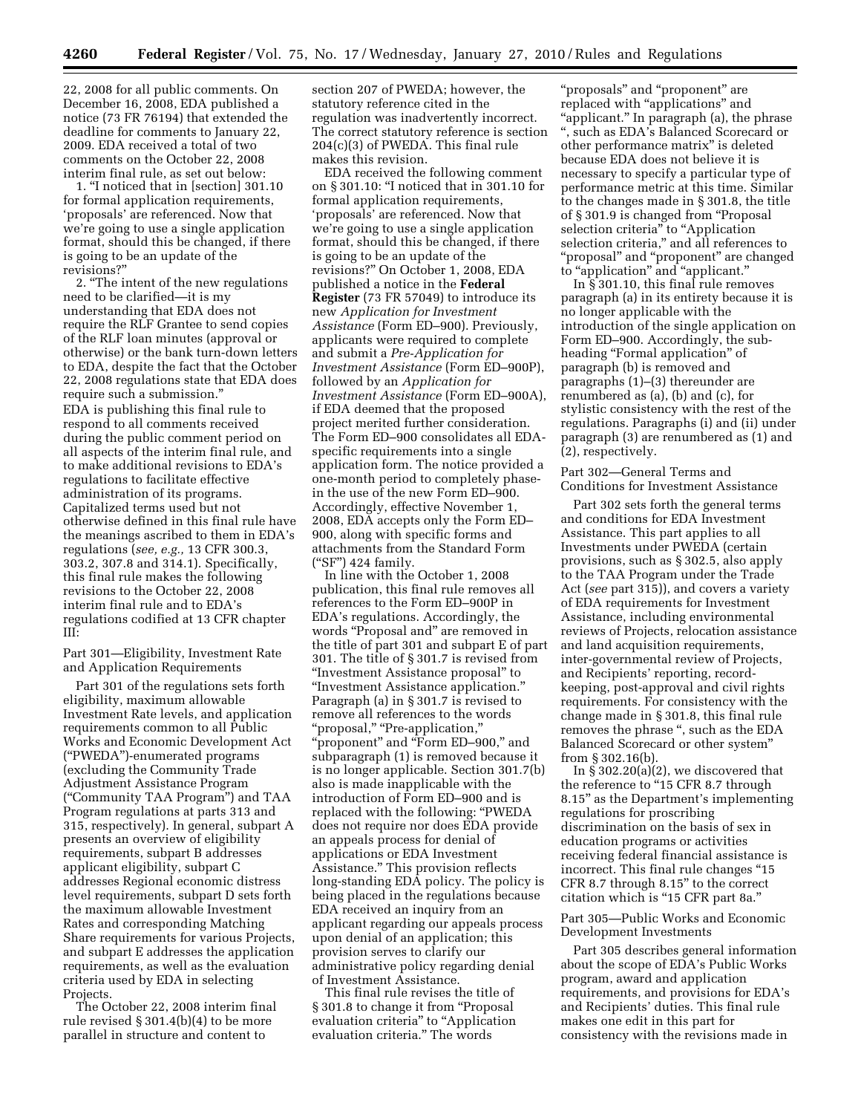22, 2008 for all public comments. On December 16, 2008, EDA published a notice (73 FR 76194) that extended the deadline for comments to January 22, 2009. EDA received a total of two comments on the October 22, 2008 interim final rule, as set out below:

1. ''I noticed that in [section] 301.10 for formal application requirements, 'proposals' are referenced. Now that we're going to use a single application format, should this be changed, if there is going to be an update of the revisions?''

2. ''The intent of the new regulations need to be clarified—it is my understanding that EDA does not require the RLF Grantee to send copies of the RLF loan minutes (approval or otherwise) or the bank turn-down letters to EDA, despite the fact that the October 22, 2008 regulations state that EDA does require such a submission.'' EDA is publishing this final rule to respond to all comments received during the public comment period on all aspects of the interim final rule, and to make additional revisions to EDA's regulations to facilitate effective administration of its programs. Capitalized terms used but not otherwise defined in this final rule have the meanings ascribed to them in EDA's regulations (*see, e.g.,* 13 CFR 300.3, 303.2, 307.8 and 314.1). Specifically, this final rule makes the following revisions to the October 22, 2008 interim final rule and to EDA's regulations codified at 13 CFR chapter III:

Part 301—Eligibility, Investment Rate and Application Requirements

Part 301 of the regulations sets forth eligibility, maximum allowable Investment Rate levels, and application requirements common to all Public Works and Economic Development Act (''PWEDA'')-enumerated programs (excluding the Community Trade Adjustment Assistance Program (''Community TAA Program'') and TAA Program regulations at parts 313 and 315, respectively). In general, subpart A presents an overview of eligibility requirements, subpart B addresses applicant eligibility, subpart C addresses Regional economic distress level requirements, subpart D sets forth the maximum allowable Investment Rates and corresponding Matching Share requirements for various Projects, and subpart E addresses the application requirements, as well as the evaluation criteria used by EDA in selecting Projects.

The October 22, 2008 interim final rule revised § 301.4(b)(4) to be more parallel in structure and content to

section 207 of PWEDA; however, the statutory reference cited in the regulation was inadvertently incorrect. The correct statutory reference is section 204(c)(3) of PWEDA. This final rule makes this revision.

EDA received the following comment on § 301.10: ''I noticed that in 301.10 for formal application requirements, 'proposals' are referenced. Now that we're going to use a single application format, should this be changed, if there is going to be an update of the revisions?'' On October 1, 2008, EDA published a notice in the **Federal Register** (73 FR 57049) to introduce its new *Application for Investment Assistance* (Form ED–900). Previously, applicants were required to complete and submit a *Pre-Application for Investment Assistance* (Form ED–900P), followed by an *Application for Investment Assistance* (Form ED–900A), if EDA deemed that the proposed project merited further consideration. The Form ED–900 consolidates all EDAspecific requirements into a single application form. The notice provided a one-month period to completely phasein the use of the new Form ED–900. Accordingly, effective November 1, 2008, EDA accepts only the Form ED– 900, along with specific forms and attachments from the Standard Form (''SF'') 424 family.

In line with the October 1, 2008 publication, this final rule removes all references to the Form ED–900P in EDA's regulations. Accordingly, the words "Proposal and" are removed in the title of part 301 and subpart E of part 301. The title of § 301.7 is revised from ''Investment Assistance proposal'' to ''Investment Assistance application.'' Paragraph (a) in § 301.7 is revised to remove all references to the words ''proposal,'' ''Pre-application,'' ''proponent'' and ''Form ED–900,'' and subparagraph (1) is removed because it is no longer applicable. Section 301.7(b) also is made inapplicable with the introduction of Form ED–900 and is replaced with the following: ''PWEDA does not require nor does EDA provide an appeals process for denial of applications or EDA Investment Assistance.'' This provision reflects long-standing EDA policy. The policy is being placed in the regulations because EDA received an inquiry from an applicant regarding our appeals process upon denial of an application; this provision serves to clarify our administrative policy regarding denial of Investment Assistance.

This final rule revises the title of § 301.8 to change it from "Proposal evaluation criteria" to "Application evaluation criteria.'' The words

"proposals" and "proponent" are replaced with "applications" and ''applicant.'' In paragraph (a), the phrase '', such as EDA's Balanced Scorecard or other performance matrix'' is deleted because EDA does not believe it is necessary to specify a particular type of performance metric at this time. Similar to the changes made in § 301.8, the title of § 301.9 is changed from ''Proposal selection criteria" to "Application selection criteria," and all references to "proposal" and "proponent" are changed to "application" and "applicant."

In § 301.10, this final rule removes paragraph (a) in its entirety because it is no longer applicable with the introduction of the single application on Form ED–900. Accordingly, the subheading "Formal application" of paragraph (b) is removed and paragraphs (1)–(3) thereunder are renumbered as (a), (b) and (c), for stylistic consistency with the rest of the regulations. Paragraphs (i) and (ii) under paragraph (3) are renumbered as (1) and (2), respectively.

Part 302—General Terms and Conditions for Investment Assistance

Part 302 sets forth the general terms and conditions for EDA Investment Assistance. This part applies to all Investments under PWEDA (certain provisions, such as § 302.5, also apply to the TAA Program under the Trade Act (*see* part 315)), and covers a variety of EDA requirements for Investment Assistance, including environmental reviews of Projects, relocation assistance and land acquisition requirements, inter-governmental review of Projects, and Recipients' reporting, recordkeeping, post-approval and civil rights requirements. For consistency with the change made in § 301.8, this final rule removes the phrase '', such as the EDA Balanced Scorecard or other system'' from § 302.16(b).

In § 302.20(a)(2), we discovered that the reference to "15 CFR 8.7 through 8.15'' as the Department's implementing regulations for proscribing discrimination on the basis of sex in education programs or activities receiving federal financial assistance is incorrect. This final rule changes "15 CFR 8.7 through 8.15'' to the correct citation which is ''15 CFR part 8a.''

Part 305—Public Works and Economic Development Investments

Part 305 describes general information about the scope of EDA's Public Works program, award and application requirements, and provisions for EDA's and Recipients' duties. This final rule makes one edit in this part for consistency with the revisions made in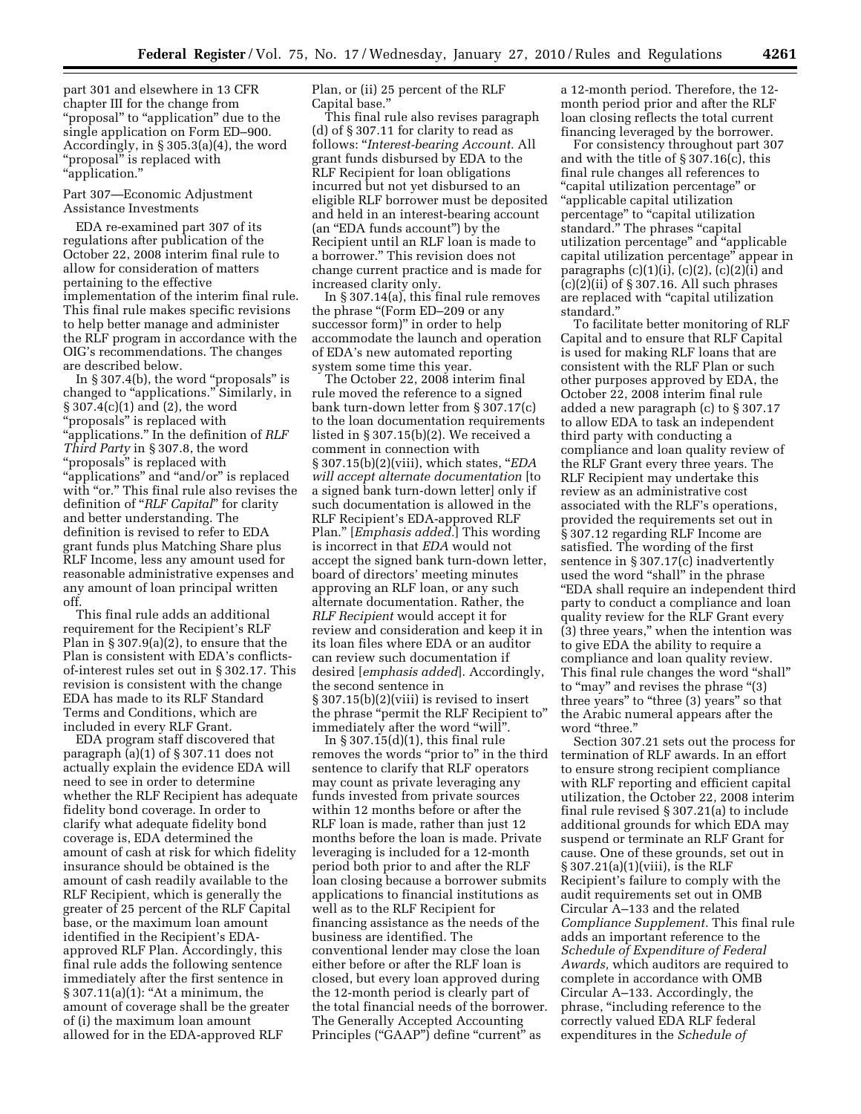part 301 and elsewhere in 13 CFR chapter III for the change from ''proposal'' to ''application'' due to the single application on Form ED–900. Accordingly, in § 305.3(a)(4), the word "proposal" is replaced with ''application.''

### Part 307—Economic Adjustment Assistance Investments

EDA re-examined part 307 of its regulations after publication of the October 22, 2008 interim final rule to allow for consideration of matters pertaining to the effective implementation of the interim final rule. This final rule makes specific revisions to help better manage and administer the RLF program in accordance with the OIG's recommendations. The changes are described below.

In  $\S 307.4(b)$ , the word "proposals" is changed to "applications." Similarly, in § 307.4(c)(1) and (2), the word "proposals" is replaced with ''applications.'' In the definition of *RLF Third Party* in § 307.8, the word ''proposals'' is replaced with ''applications'' and ''and/or'' is replaced with "or." This final rule also revises the definition of ''*RLF Capital*'' for clarity and better understanding. The definition is revised to refer to EDA grant funds plus Matching Share plus RLF Income, less any amount used for reasonable administrative expenses and any amount of loan principal written off.

This final rule adds an additional requirement for the Recipient's RLF Plan in  $\S 307.9(a)(2)$ , to ensure that the Plan is consistent with EDA's conflictsof-interest rules set out in § 302.17. This revision is consistent with the change EDA has made to its RLF Standard Terms and Conditions, which are included in every RLF Grant.

EDA program staff discovered that paragraph (a)(1) of § 307.11 does not actually explain the evidence EDA will need to see in order to determine whether the RLF Recipient has adequate fidelity bond coverage. In order to clarify what adequate fidelity bond coverage is, EDA determined the amount of cash at risk for which fidelity insurance should be obtained is the amount of cash readily available to the RLF Recipient, which is generally the greater of 25 percent of the RLF Capital base, or the maximum loan amount identified in the Recipient's EDAapproved RLF Plan. Accordingly, this final rule adds the following sentence immediately after the first sentence in  $§ 307.11(a)(1): "At a minimum, the$ amount of coverage shall be the greater of (i) the maximum loan amount allowed for in the EDA-approved RLF

Plan, or (ii) 25 percent of the RLF Capital base.''

This final rule also revises paragraph (d) of § 307.11 for clarity to read as follows: ''*Interest-bearing Account.* All grant funds disbursed by EDA to the RLF Recipient for loan obligations incurred but not yet disbursed to an eligible RLF borrower must be deposited and held in an interest-bearing account (an ''EDA funds account'') by the Recipient until an RLF loan is made to a borrower.'' This revision does not change current practice and is made for increased clarity only.

In § 307.14(a), this final rule removes the phrase ''(Form ED–209 or any successor form)'' in order to help accommodate the launch and operation of EDA's new automated reporting system some time this year.

The October 22, 2008 interim final rule moved the reference to a signed bank turn-down letter from § 307.17(c) to the loan documentation requirements listed in § 307.15(b)(2). We received a comment in connection with § 307.15(b)(2)(viii), which states, ''*EDA will accept alternate documentation* [to a signed bank turn-down letter] only if such documentation is allowed in the RLF Recipient's EDA-approved RLF Plan.'' [*Emphasis added.*] This wording is incorrect in that *EDA* would not accept the signed bank turn-down letter, board of directors' meeting minutes approving an RLF loan, or any such alternate documentation. Rather, the *RLF Recipient* would accept it for review and consideration and keep it in its loan files where EDA or an auditor can review such documentation if desired [*emphasis added*]. Accordingly, the second sentence in § 307.15(b)(2)(viii) is revised to insert the phrase ''permit the RLF Recipient to'' immediately after the word "will".

In § 307.15(d)(1), this final rule removes the words "prior to" in the third sentence to clarify that RLF operators may count as private leveraging any funds invested from private sources within 12 months before or after the RLF loan is made, rather than just 12 months before the loan is made. Private leveraging is included for a 12-month period both prior to and after the RLF loan closing because a borrower submits applications to financial institutions as well as to the RLF Recipient for financing assistance as the needs of the business are identified. The conventional lender may close the loan either before or after the RLF loan is closed, but every loan approved during the 12-month period is clearly part of the total financial needs of the borrower. The Generally Accepted Accounting Principles ("GAAP") define "current" as

a 12-month period. Therefore, the 12 month period prior and after the RLF loan closing reflects the total current financing leveraged by the borrower.

For consistency throughout part 307 and with the title of § 307.16(c), this final rule changes all references to ''capital utilization percentage'' or ''applicable capital utilization percentage" to "capital utilization standard." The phrases "capital utilization percentage'' and ''applicable capital utilization percentage'' appear in paragraphs  $(c)(1)(i)$ ,  $(c)(2)$ ,  $(c)(2)(i)$  and  $(c)(2)(ii)$  of § 307.16. All such phrases are replaced with ''capital utilization standard.''

To facilitate better monitoring of RLF Capital and to ensure that RLF Capital is used for making RLF loans that are consistent with the RLF Plan or such other purposes approved by EDA, the October 22, 2008 interim final rule added a new paragraph (c) to § 307.17 to allow EDA to task an independent third party with conducting a compliance and loan quality review of the RLF Grant every three years. The RLF Recipient may undertake this review as an administrative cost associated with the RLF's operations, provided the requirements set out in § 307.12 regarding RLF Income are satisfied. The wording of the first sentence in § 307.17(c) inadvertently used the word ''shall'' in the phrase ''EDA shall require an independent third party to conduct a compliance and loan quality review for the RLF Grant every (3) three years,'' when the intention was to give EDA the ability to require a compliance and loan quality review. This final rule changes the word ''shall'' to "may" and revises the phrase "(3) three years'' to ''three (3) years'' so that the Arabic numeral appears after the word "three."

Section 307.21 sets out the process for termination of RLF awards. In an effort to ensure strong recipient compliance with RLF reporting and efficient capital utilization, the October 22, 2008 interim final rule revised § 307.21(a) to include additional grounds for which EDA may suspend or terminate an RLF Grant for cause. One of these grounds, set out in § 307.21(a)(1)(viii), is the RLF Recipient's failure to comply with the audit requirements set out in OMB Circular A–133 and the related *Compliance Supplement.* This final rule adds an important reference to the *Schedule of Expenditure of Federal Awards,* which auditors are required to complete in accordance with OMB Circular A–133. Accordingly, the phrase, "including reference to the correctly valued EDA RLF federal expenditures in the *Schedule of*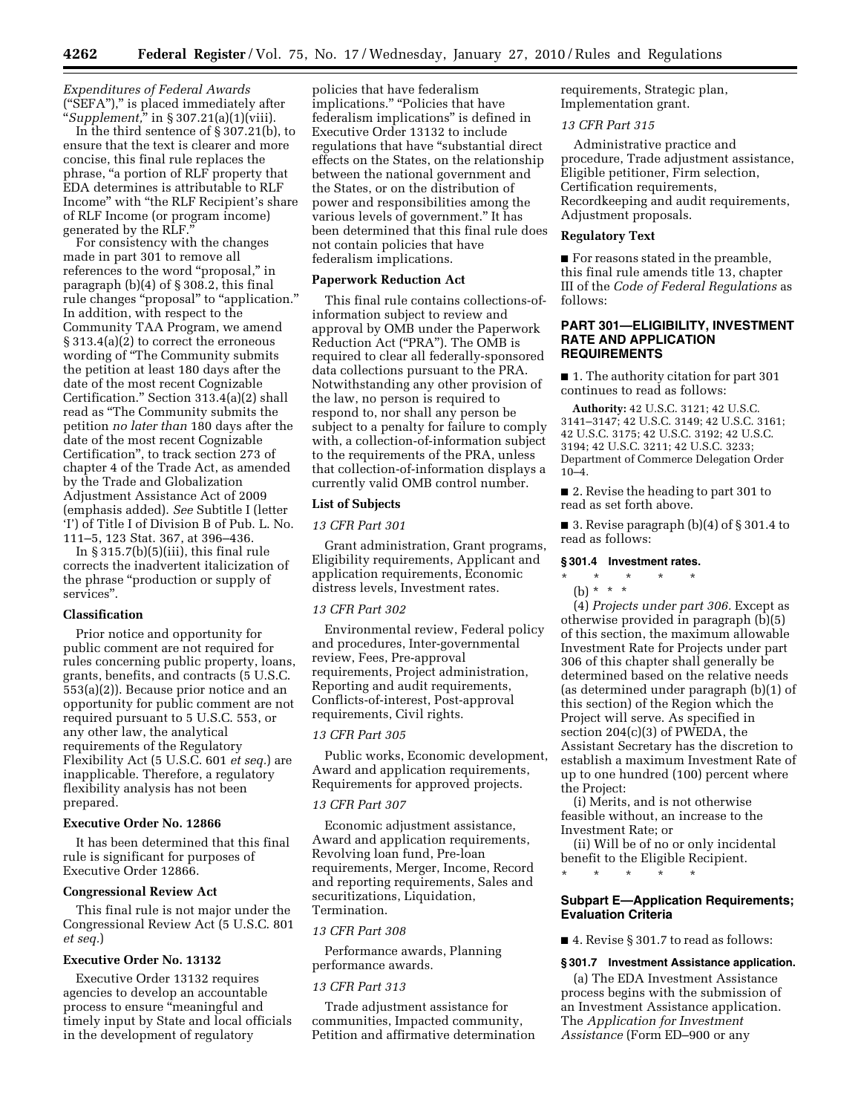*Expenditures of Federal Awards*  (''SEFA''),'' is placed immediately after ''*Supplement,*'' in § 307.21(a)(1)(viii).

In the third sentence of § 307.21(b), to ensure that the text is clearer and more concise, this final rule replaces the phrase, ''a portion of RLF property that EDA determines is attributable to RLF Income'' with ''the RLF Recipient's share of RLF Income (or program income) generated by the RLF.

For consistency with the changes made in part 301 to remove all references to the word "proposal," in paragraph (b)(4) of § 308.2, this final rule changes "proposal" to "application." In addition, with respect to the Community TAA Program, we amend § 313.4(a)(2) to correct the erroneous wording of ''The Community submits the petition at least 180 days after the date of the most recent Cognizable Certification.'' Section 313.4(a)(2) shall read as ''The Community submits the petition *no later than* 180 days after the date of the most recent Cognizable Certification'', to track section 273 of chapter 4 of the Trade Act, as amended by the Trade and Globalization Adjustment Assistance Act of 2009 (emphasis added). *See* Subtitle I (letter 'I') of Title I of Division B of Pub. L. No. 111–5, 123 Stat. 367, at 396–436.

In  $\S 315.7(b)(5)(iii)$ , this final rule corrects the inadvertent italicization of the phrase ''production or supply of services''.

#### **Classification**

Prior notice and opportunity for public comment are not required for rules concerning public property, loans, grants, benefits, and contracts (5 U.S.C. 553(a)(2)). Because prior notice and an opportunity for public comment are not required pursuant to 5 U.S.C. 553, or any other law, the analytical requirements of the Regulatory Flexibility Act (5 U.S.C. 601 *et seq.*) are inapplicable. Therefore, a regulatory flexibility analysis has not been prepared.

# **Executive Order No. 12866**

It has been determined that this final rule is significant for purposes of Executive Order 12866.

#### **Congressional Review Act**

This final rule is not major under the Congressional Review Act (5 U.S.C. 801 *et seq.*)

# **Executive Order No. 13132**

Executive Order 13132 requires agencies to develop an accountable process to ensure "meaningful and timely input by State and local officials in the development of regulatory

policies that have federalism implications." "Policies that have federalism implications'' is defined in Executive Order 13132 to include regulations that have "substantial direct effects on the States, on the relationship between the national government and the States, or on the distribution of power and responsibilities among the various levels of government.'' It has been determined that this final rule does not contain policies that have federalism implications.

# **Paperwork Reduction Act**

This final rule contains collections-ofinformation subject to review and approval by OMB under the Paperwork Reduction Act (''PRA''). The OMB is required to clear all federally-sponsored data collections pursuant to the PRA. Notwithstanding any other provision of the law, no person is required to respond to, nor shall any person be subject to a penalty for failure to comply with, a collection-of-information subject to the requirements of the PRA, unless that collection-of-information displays a currently valid OMB control number.

# **List of Subjects**

# *13 CFR Part 301*

Grant administration, Grant programs, Eligibility requirements, Applicant and application requirements, Economic distress levels, Investment rates.

# *13 CFR Part 302*

Environmental review, Federal policy and procedures, Inter-governmental review, Fees, Pre-approval requirements, Project administration, Reporting and audit requirements, Conflicts-of-interest, Post-approval requirements, Civil rights.

### *13 CFR Part 305*

Public works, Economic development, Award and application requirements, Requirements for approved projects.

### *13 CFR Part 307*

Economic adjustment assistance, Award and application requirements, Revolving loan fund, Pre-loan requirements, Merger, Income, Record and reporting requirements, Sales and securitizations, Liquidation, Termination.

### *13 CFR Part 308*

Performance awards, Planning performance awards.

#### *13 CFR Part 313*

Trade adjustment assistance for communities, Impacted community, Petition and affirmative determination requirements, Strategic plan, Implementation grant.

# *13 CFR Part 315*

Administrative practice and procedure, Trade adjustment assistance, Eligible petitioner, Firm selection, Certification requirements, Recordkeeping and audit requirements, Adjustment proposals.

#### **Regulatory Text**

■ For reasons stated in the preamble, this final rule amends title 13, chapter III of the *Code of Federal Regulations* as follows:

# **PART 301—ELIGIBILITY, INVESTMENT RATE AND APPLICATION REQUIREMENTS**

■ 1. The authority citation for part 301 continues to read as follows:

**Authority:** 42 U.S.C. 3121; 42 U.S.C. 3141–3147; 42 U.S.C. 3149; 42 U.S.C. 3161; 42 U.S.C. 3175; 42 U.S.C. 3192; 42 U.S.C. 3194; 42 U.S.C. 3211; 42 U.S.C. 3233; Department of Commerce Delegation Order 10–4.

■ 2. Revise the heading to part 301 to read as set forth above.

■ 3. Revise paragraph (b)(4) of § 301.4 to read as follows:

### **§ 301.4 Investment rates.**

# \* \* \* \* \*

# (b) \* \* \*

(4) *Projects under part 306.* Except as otherwise provided in paragraph (b)(5) of this section, the maximum allowable Investment Rate for Projects under part 306 of this chapter shall generally be determined based on the relative needs (as determined under paragraph (b)(1) of this section) of the Region which the Project will serve. As specified in section 204(c)(3) of PWEDA, the Assistant Secretary has the discretion to establish a maximum Investment Rate of up to one hundred (100) percent where the Project:

(i) Merits, and is not otherwise feasible without, an increase to the Investment Rate; or

(ii) Will be of no or only incidental benefit to the Eligible Recipient.

# \* \* \* \* \*

# **Subpart E—Application Requirements; Evaluation Criteria**

■ 4. Revise § 301.7 to read as follows:

# **§ 301.7 Investment Assistance application.**

(a) The EDA Investment Assistance process begins with the submission of an Investment Assistance application. The *Application for Investment Assistance* (Form ED–900 or any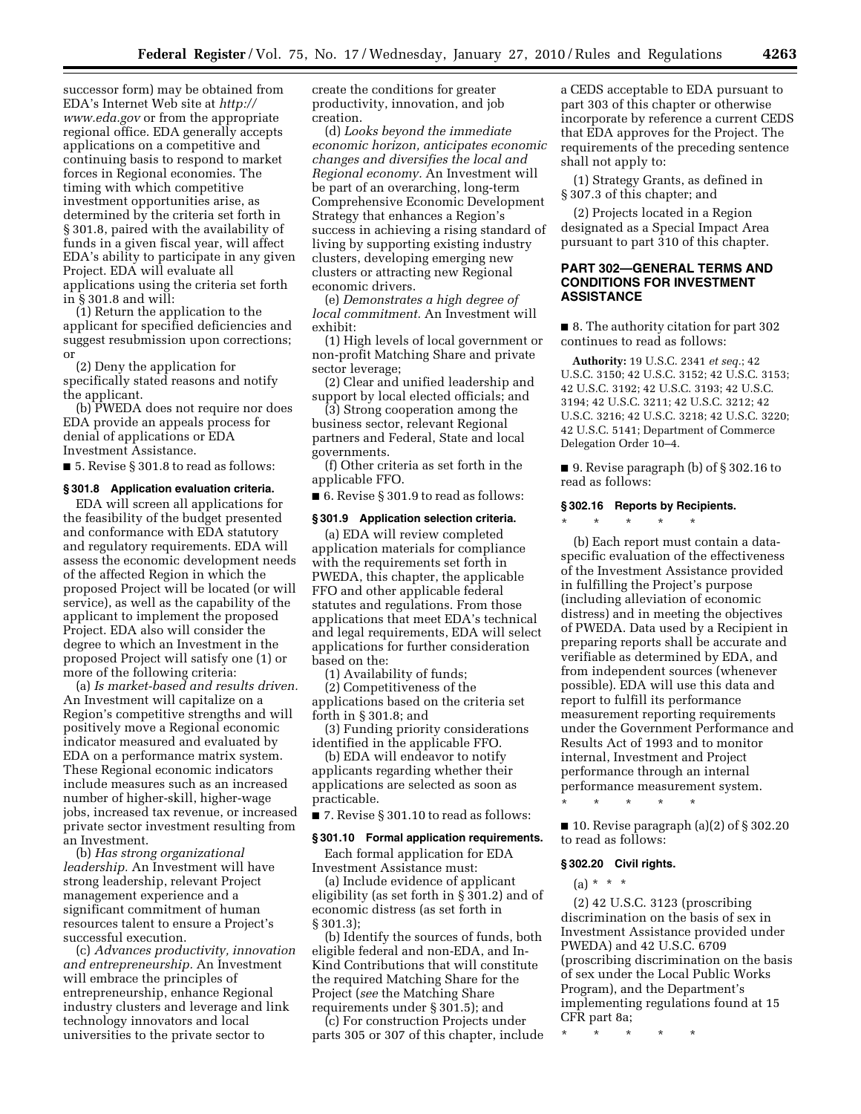successor form) may be obtained from EDA's Internet Web site at *http:// www.eda.gov* or from the appropriate regional office. EDA generally accepts applications on a competitive and continuing basis to respond to market forces in Regional economies. The timing with which competitive investment opportunities arise, as determined by the criteria set forth in § 301.8, paired with the availability of funds in a given fiscal year, will affect EDA's ability to participate in any given Project. EDA will evaluate all applications using the criteria set forth in § 301.8 and will:

(1) Return the application to the applicant for specified deficiencies and suggest resubmission upon corrections; or

(2) Deny the application for specifically stated reasons and notify the applicant.

(b) PWEDA does not require nor does EDA provide an appeals process for denial of applications or EDA Investment Assistance.

■ 5. Revise § 301.8 to read as follows:

#### **§ 301.8 Application evaluation criteria.**

EDA will screen all applications for the feasibility of the budget presented and conformance with EDA statutory and regulatory requirements. EDA will assess the economic development needs of the affected Region in which the proposed Project will be located (or will service), as well as the capability of the applicant to implement the proposed Project. EDA also will consider the degree to which an Investment in the proposed Project will satisfy one (1) or more of the following criteria:

(a) *Is market-based and results driven.*  An Investment will capitalize on a Region's competitive strengths and will positively move a Regional economic indicator measured and evaluated by EDA on a performance matrix system. These Regional economic indicators include measures such as an increased number of higher-skill, higher-wage jobs, increased tax revenue, or increased private sector investment resulting from an Investment.

(b) *Has strong organizational leadership.* An Investment will have strong leadership, relevant Project management experience and a significant commitment of human resources talent to ensure a Project's successful execution.

(c) *Advances productivity, innovation and entrepreneurship.* An Investment will embrace the principles of entrepreneurship, enhance Regional industry clusters and leverage and link technology innovators and local universities to the private sector to

create the conditions for greater productivity, innovation, and job creation.

(d) *Looks beyond the immediate economic horizon, anticipates economic changes and diversifies the local and Regional economy.* An Investment will be part of an overarching, long-term Comprehensive Economic Development Strategy that enhances a Region's success in achieving a rising standard of living by supporting existing industry clusters, developing emerging new clusters or attracting new Regional economic drivers.

(e) *Demonstrates a high degree of local commitment.* An Investment will exhibit:

(1) High levels of local government or non-profit Matching Share and private sector leverage;

(2) Clear and unified leadership and support by local elected officials; and

(3) Strong cooperation among the business sector, relevant Regional partners and Federal, State and local governments.

(f) Other criteria as set forth in the applicable FFO.

■ 6. Revise § 301.9 to read as follows:

#### **§ 301.9 Application selection criteria.**

(a) EDA will review completed application materials for compliance with the requirements set forth in PWEDA, this chapter, the applicable FFO and other applicable federal statutes and regulations. From those applications that meet EDA's technical and legal requirements, EDA will select applications for further consideration based on the:

(1) Availability of funds;

(2) Competitiveness of the applications based on the criteria set forth in § 301.8; and

(3) Funding priority considerations identified in the applicable FFO.

(b) EDA will endeavor to notify applicants regarding whether their applications are selected as soon as practicable.

■ 7. Revise § 301.10 to read as follows:

#### **§ 301.10 Formal application requirements.**

Each formal application for EDA Investment Assistance must:

(a) Include evidence of applicant eligibility (as set forth in § 301.2) and of economic distress (as set forth in § 301.3);

(b) Identify the sources of funds, both eligible federal and non-EDA, and In-Kind Contributions that will constitute the required Matching Share for the Project (*see* the Matching Share requirements under § 301.5); and

(c) For construction Projects under parts 305 or 307 of this chapter, include

a CEDS acceptable to EDA pursuant to part 303 of this chapter or otherwise incorporate by reference a current CEDS that EDA approves for the Project. The requirements of the preceding sentence shall not apply to:

(1) Strategy Grants, as defined in § 307.3 of this chapter; and

(2) Projects located in a Region designated as a Special Impact Area pursuant to part 310 of this chapter.

# **PART 302—GENERAL TERMS AND CONDITIONS FOR INVESTMENT ASSISTANCE**

■ 8. The authority citation for part 302 continues to read as follows:

**Authority:** 19 U.S.C. 2341 *et seq.*; 42 U.S.C. 3150; 42 U.S.C. 3152; 42 U.S.C. 3153; 42 U.S.C. 3192; 42 U.S.C. 3193; 42 U.S.C. 3194; 42 U.S.C. 3211; 42 U.S.C. 3212; 42 U.S.C. 3216; 42 U.S.C. 3218; 42 U.S.C. 3220; 42 U.S.C. 5141; Department of Commerce Delegation Order 10–4.

■ 9. Revise paragraph (b) of § 302.16 to read as follows:

### **§ 302.16 Reports by Recipients.**

\* \* \* \* \*

(b) Each report must contain a dataspecific evaluation of the effectiveness of the Investment Assistance provided in fulfilling the Project's purpose (including alleviation of economic distress) and in meeting the objectives of PWEDA. Data used by a Recipient in preparing reports shall be accurate and verifiable as determined by EDA, and from independent sources (whenever possible). EDA will use this data and report to fulfill its performance measurement reporting requirements under the Government Performance and Results Act of 1993 and to monitor internal, Investment and Project performance through an internal performance measurement system.

\* \* \* \* \*

■ 10. Revise paragraph (a)(2) of § 302.20 to read as follows:

#### **§ 302.20 Civil rights.**

(a) \* \* \*

(2) 42 U.S.C. 3123 (proscribing discrimination on the basis of sex in Investment Assistance provided under PWEDA) and 42 U.S.C. 6709 (proscribing discrimination on the basis of sex under the Local Public Works Program), and the Department's implementing regulations found at 15 CFR part 8a;

\* \* \* \* \*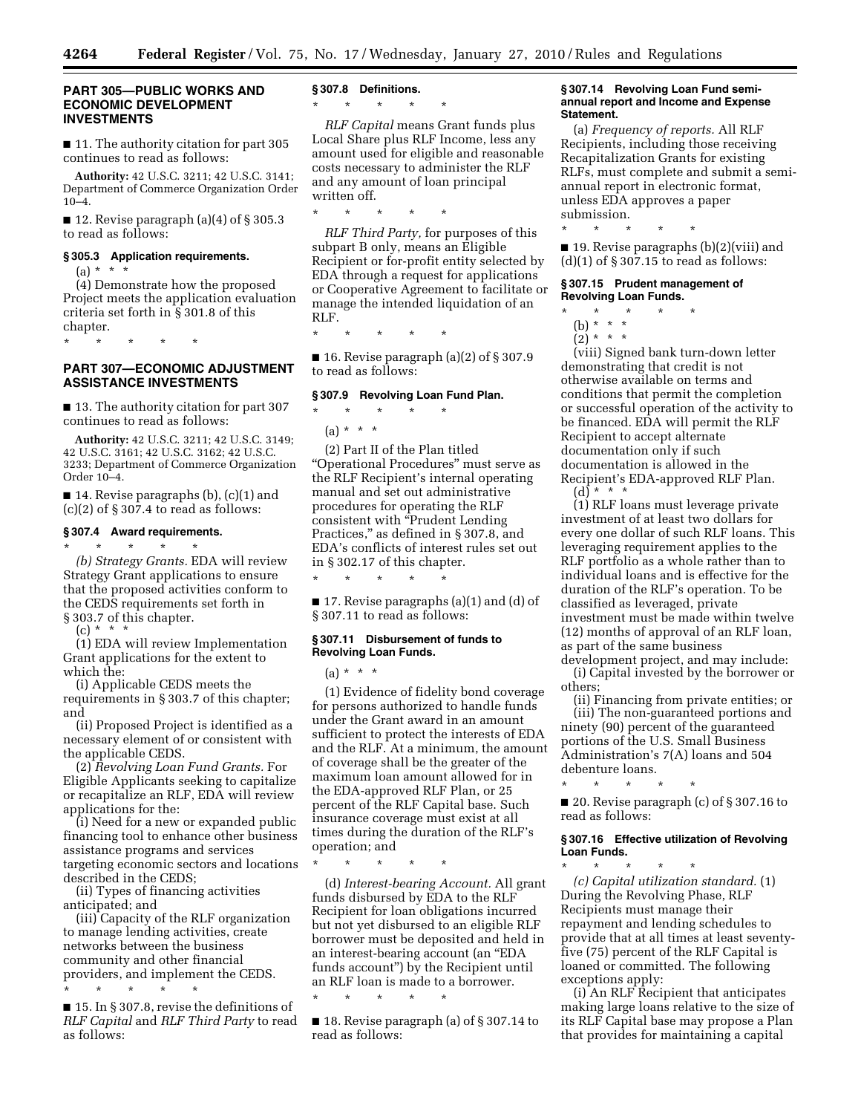### **PART 305—PUBLIC WORKS AND ECONOMIC DEVELOPMENT INVESTMENTS**

■ 11. The authority citation for part 305 continues to read as follows:

**Authority:** 42 U.S.C. 3211; 42 U.S.C. 3141; Department of Commerce Organization Order 10–4.

 $\blacksquare$  12. Revise paragraph (a)(4) of § 305.3 to read as follows:

# **§ 305.3 Application requirements.**

\* \* \* \* \*

(a) \* \* \*

(4) Demonstrate how the proposed Project meets the application evaluation criteria set forth in § 301.8 of this chapter.

**PART 307—ECONOMIC ADJUSTMENT ASSISTANCE INVESTMENTS** 

■ 13. The authority citation for part 307 continues to read as follows:

**Authority:** 42 U.S.C. 3211; 42 U.S.C. 3149; 42 U.S.C. 3161; 42 U.S.C. 3162; 42 U.S.C. 3233; Department of Commerce Organization Order 10–4.

■ 14. Revise paragraphs (b), (c)(1) and  $(c)(2)$  of § 307.4 to read as follows:

# **§ 307.4 Award requirements.**

\* \* \* \* \* *(b) Strategy Grants.* EDA will review Strategy Grant applications to ensure that the proposed activities conform to the CEDS requirements set forth in § 303.7 of this chapter.

(c) \* \* \*

(1) EDA will review Implementation Grant applications for the extent to which the:

(i) Applicable CEDS meets the requirements in § 303.7 of this chapter; and

(ii) Proposed Project is identified as a necessary element of or consistent with the applicable CEDS.

(2) *Revolving Loan Fund Grants.* For Eligible Applicants seeking to capitalize or recapitalize an RLF, EDA will review applications for the:

(i) Need for a new or expanded public financing tool to enhance other business assistance programs and services targeting economic sectors and locations described in the CEDS;

(ii) Types of financing activities anticipated; and

(iii) Capacity of the RLF organization to manage lending activities, create networks between the business community and other financial providers, and implement the CEDS. \* \* \* \* \*

■ 15. In § 307.8, revise the definitions of *RLF Capital* and *RLF Third Party* to read as follows:

# **§ 307.8 Definitions.**

\* \* \* \* \*

*RLF Capital* means Grant funds plus Local Share plus RLF Income, less any amount used for eligible and reasonable costs necessary to administer the RLF and any amount of loan principal written off.

\* \* \* \* \*

*RLF Third Party,* for purposes of this subpart B only, means an Eligible Recipient or for-profit entity selected by EDA through a request for applications or Cooperative Agreement to facilitate or manage the intended liquidation of an RLF.

\* \* \* \* \*

 $\blacksquare$  16. Revise paragraph (a)(2) of § 307.9 to read as follows:

# **§ 307.9 Revolving Loan Fund Plan.**

# \* \* \* \* \*

 $(a) * * * *$ 

(2) Part II of the Plan titled ''Operational Procedures'' must serve as the RLF Recipient's internal operating manual and set out administrative procedures for operating the RLF consistent with ''Prudent Lending Practices," as defined in § 307.8, and EDA's conflicts of interest rules set out in § 302.17 of this chapter.

■ 17. Revise paragraphs (a)(1) and (d) of § 307.11 to read as follows:

### **§ 307.11 Disbursement of funds to Revolving Loan Funds.**

\* \* \* \* \*

 $(a) * * * *$ 

(1) Evidence of fidelity bond coverage for persons authorized to handle funds under the Grant award in an amount sufficient to protect the interests of EDA and the RLF. At a minimum, the amount of coverage shall be the greater of the maximum loan amount allowed for in the EDA-approved RLF Plan, or 25 percent of the RLF Capital base. Such insurance coverage must exist at all times during the duration of the RLF's operation; and

\* \* \* \* \*

(d) *Interest-bearing Account.* All grant funds disbursed by EDA to the RLF Recipient for loan obligations incurred but not yet disbursed to an eligible RLF borrower must be deposited and held in an interest-bearing account (an ''EDA funds account'') by the Recipient until an RLF loan is made to a borrower.

\* \* \* \* \*

■ 18. Revise paragraph (a) of § 307.14 to read as follows:

# **§ 307.14 Revolving Loan Fund semiannual report and Income and Expense Statement.**

(a) *Frequency of reports.* All RLF Recipients, including those receiving Recapitalization Grants for existing RLFs, must complete and submit a semiannual report in electronic format, unless EDA approves a paper submission.

\* \* \* \* \*

■ 19. Revise paragraphs (b)(2)(viii) and  $(d)(1)$  of § 307.15 to read as follows:

### **§ 307.15 Prudent management of Revolving Loan Funds.**

- \* \* \* \* \*
- (b) \* \* \*
- $(2)^*$  \* \* \*

(viii) Signed bank turn-down letter demonstrating that credit is not otherwise available on terms and conditions that permit the completion or successful operation of the activity to be financed. EDA will permit the RLF Recipient to accept alternate documentation only if such documentation is allowed in the Recipient's EDA-approved RLF Plan.  $(d) * * * *$ 

(1) RLF loans must leverage private investment of at least two dollars for every one dollar of such RLF loans. This leveraging requirement applies to the RLF portfolio as a whole rather than to individual loans and is effective for the duration of the RLF's operation. To be classified as leveraged, private investment must be made within twelve (12) months of approval of an RLF loan, as part of the same business

development project, and may include: (i) Capital invested by the borrower or others;

(ii) Financing from private entities; or (iii) The non-guaranteed portions and ninety (90) percent of the guaranteed portions of the U.S. Small Business Administration's 7(A) loans and 504 debenture loans.

\* \* \* \* \* ■ 20. Revise paragraph (c) of § 307.16 to read as follows:

# **§ 307.16 Effective utilization of Revolving Loan Funds.**

\* \* \* \* \* *(c) Capital utilization standard.* (1) During the Revolving Phase, RLF Recipients must manage their repayment and lending schedules to provide that at all times at least seventyfive (75) percent of the RLF Capital is loaned or committed. The following exceptions apply:

(i) An RLF Recipient that anticipates making large loans relative to the size of its RLF Capital base may propose a Plan that provides for maintaining a capital